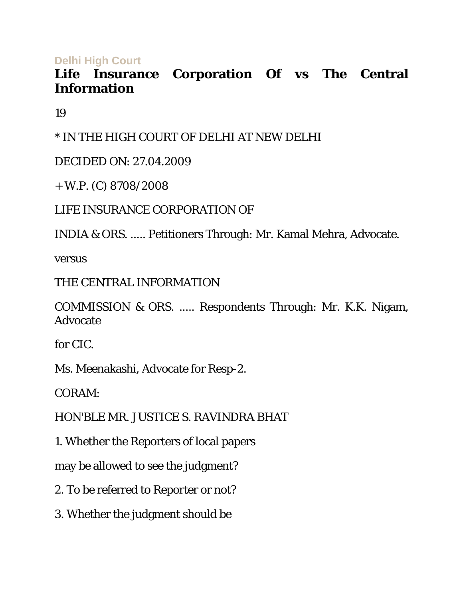**Delhi High Court** 

# **Life Insurance Corporation Of vs The Central Information**

19

\* IN THE HIGH COURT OF DELHI AT NEW DELHI

DECIDED ON: 27.04.2009

+ W.P. (C) 8708/2008

LIFE INSURANCE CORPORATION OF

INDIA & ORS. ..... Petitioners Through: Mr. Kamal Mehra, Advocate.

versus

THE CENTRAL INFORMATION

COMMISSION & ORS. ..... Respondents Through: Mr. K.K. Nigam, Advocate

for CIC.

Ms. Meenakashi, Advocate for Resp-2.

CORAM:

HON'BLE MR. JUSTICE S. RAVINDRA BHAT

1. Whether the Reporters of local papers

may be allowed to see the judgment?

2. To be referred to Reporter or not?

3. Whether the judgment should be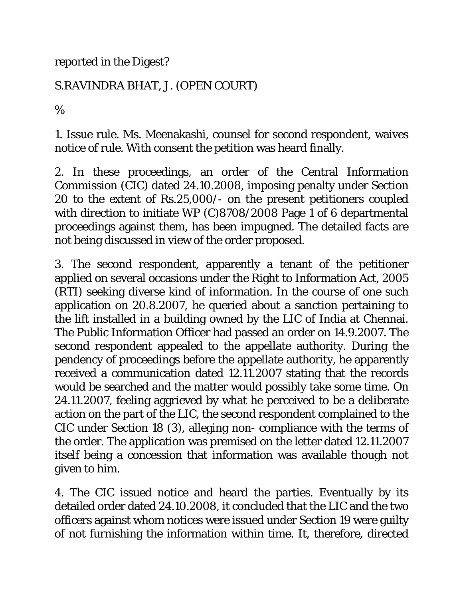reported in the Digest?

#### S.RAVINDRA BHAT, J. (OPEN COURT)

%

1. Issue rule. Ms. Meenakashi, counsel for second respondent, waives notice of rule. With consent the petition was heard finally.

2. In these proceedings, an order of the Central Information Commission (CIC) dated 24.10.2008, imposing penalty under Section 20 to the extent of Rs.25,000/- on the present petitioners coupled with direction to initiate WP (C)8708/2008 Page 1 of 6 departmental proceedings against them, has been impugned. The detailed facts are not being discussed in view of the order proposed.

3. The second respondent, apparently a tenant of the petitioner applied on several occasions under the Right to Information Act, 2005 (RTI) seeking diverse kind of information. In the course of one such application on 20.8.2007, he queried about a sanction pertaining to the lift installed in a building owned by the LIC of India at Chennai. The Public Information Officer had passed an order on 14.9.2007. The second respondent appealed to the appellate authority. During the pendency of proceedings before the appellate authority, he apparently received a communication dated 12.11.2007 stating that the records would be searched and the matter would possibly take some time. On 24.11.2007, feeling aggrieved by what he perceived to be a deliberate action on the part of the LIC, the second respondent complained to the CIC under Section 18 (3), alleging non- compliance with the terms of the order. The application was premised on the letter dated 12.11.2007 itself being a concession that information was available though not given to him.

4. The CIC issued notice and heard the parties. Eventually by its detailed order dated 24.10.2008, it concluded that the LIC and the two officers against whom notices were issued under Section 19 were guilty of not furnishing the information within time. It, therefore, directed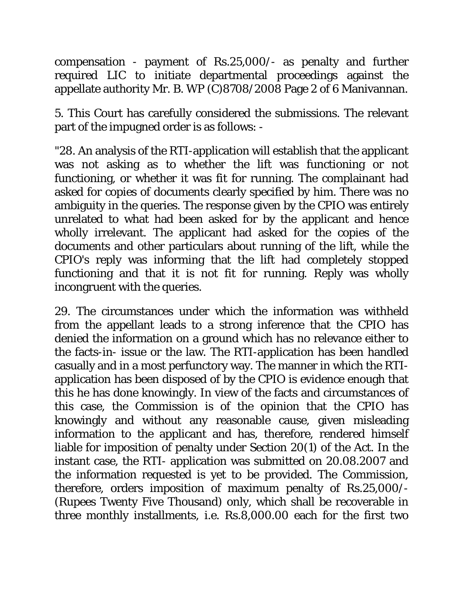compensation - payment of Rs.25,000/- as penalty and further required LIC to initiate departmental proceedings against the appellate authority Mr. B. WP (C)8708/2008 Page 2 of 6 Manivannan.

5. This Court has carefully considered the submissions. The relevant part of the impugned order is as follows: -

"28. An analysis of the RTI-application will establish that the applicant was not asking as to whether the lift was functioning or not functioning, or whether it was fit for running. The complainant had asked for copies of documents clearly specified by him. There was no ambiguity in the queries. The response given by the CPIO was entirely unrelated to what had been asked for by the applicant and hence wholly irrelevant. The applicant had asked for the copies of the documents and other particulars about running of the lift, while the CPIO's reply was informing that the lift had completely stopped functioning and that it is not fit for running. Reply was wholly incongruent with the queries.

29. The circumstances under which the information was withheld from the appellant leads to a strong inference that the CPIO has denied the information on a ground which has no relevance either to the facts-in- issue or the law. The RTI-application has been handled casually and in a most perfunctory way. The manner in which the RTIapplication has been disposed of by the CPIO is evidence enough that this he has done knowingly. In view of the facts and circumstances of this case, the Commission is of the opinion that the CPIO has knowingly and without any reasonable cause, given misleading information to the applicant and has, therefore, rendered himself liable for imposition of penalty under Section 20(1) of the Act. In the instant case, the RTI- application was submitted on 20.08.2007 and the information requested is yet to be provided. The Commission, therefore, orders imposition of maximum penalty of Rs.25,000/- (Rupees Twenty Five Thousand) only, which shall be recoverable in three monthly installments, i.e. Rs.8,000.00 each for the first two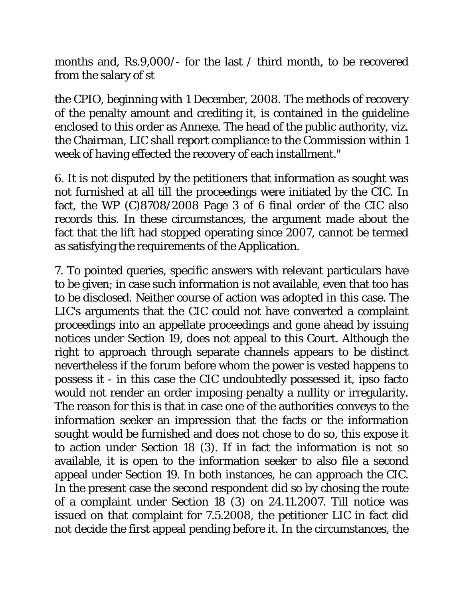months and, Rs.9,000/- for the last / third month, to be recovered from the salary of st

the CPIO, beginning with 1 December, 2008. The methods of recovery of the penalty amount and crediting it, is contained in the guideline enclosed to this order as Annexe. The head of the public authority, viz. the Chairman, LIC shall report compliance to the Commission within 1 week of having effected the recovery of each installment."

6. It is not disputed by the petitioners that information as sought was not furnished at all till the proceedings were initiated by the CIC. In fact, the WP (C)8708/2008 Page 3 of 6 final order of the CIC also records this. In these circumstances, the argument made about the fact that the lift had stopped operating since 2007, cannot be termed as satisfying the requirements of the Application.

7. To pointed queries, specific answers with relevant particulars have to be given; in case such information is not available, even that too has to be disclosed. Neither course of action was adopted in this case. The LIC's arguments that the CIC could not have converted a complaint proceedings into an appellate proceedings and gone ahead by issuing notices under Section 19, does not appeal to this Court. Although the right to approach through separate channels appears to be distinct nevertheless if the forum before whom the power is vested happens to possess it - in this case the CIC undoubtedly possessed it, ipso facto would not render an order imposing penalty a nullity or irregularity. The reason for this is that in case one of the authorities conveys to the information seeker an impression that the facts or the information sought would be furnished and does not chose to do so, this expose it to action under Section 18 (3). If in fact the information is not so available, it is open to the information seeker to also file a second appeal under Section 19. In both instances, he can approach the CIC. In the present case the second respondent did so by chosing the route of a complaint under Section 18 (3) on 24.11.2007. Till notice was issued on that complaint for 7.5.2008, the petitioner LIC in fact did not decide the first appeal pending before it. In the circumstances, the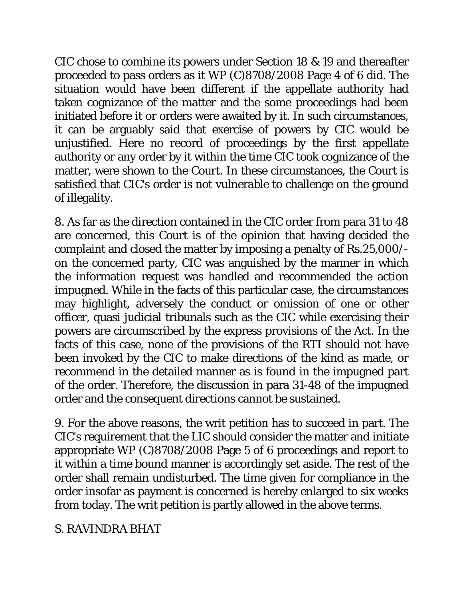CIC chose to combine its powers under Section 18 & 19 and thereafter proceeded to pass orders as it WP (C)8708/2008 Page 4 of 6 did. The situation would have been different if the appellate authority had taken cognizance of the matter and the some proceedings had been initiated before it or orders were awaited by it. In such circumstances, it can be arguably said that exercise of powers by CIC would be unjustified. Here no record of proceedings by the first appellate authority or any order by it within the time CIC took cognizance of the matter, were shown to the Court. In these circumstances, the Court is satisfied that CIC's order is not vulnerable to challenge on the ground of illegality.

8. As far as the direction contained in the CIC order from para 31 to 48 are concerned, this Court is of the opinion that having decided the complaint and closed the matter by imposing a penalty of Rs.25,000/ on the concerned party, CIC was anguished by the manner in which the information request was handled and recommended the action impugned. While in the facts of this particular case, the circumstances may highlight, adversely the conduct or omission of one or other officer, quasi judicial tribunals such as the CIC while exercising their powers are circumscribed by the express provisions of the Act. In the facts of this case, none of the provisions of the RTI should not have been invoked by the CIC to make directions of the kind as made, or recommend in the detailed manner as is found in the impugned part of the order. Therefore, the discussion in para 31-48 of the impugned order and the consequent directions cannot be sustained.

9. For the above reasons, the writ petition has to succeed in part. The CIC's requirement that the LIC should consider the matter and initiate appropriate WP (C)8708/2008 Page 5 of 6 proceedings and report to it within a time bound manner is accordingly set aside. The rest of the order shall remain undisturbed. The time given for compliance in the order insofar as payment is concerned is hereby enlarged to six weeks from today. The writ petition is partly allowed in the above terms.

### S. RAVINDRA BHAT